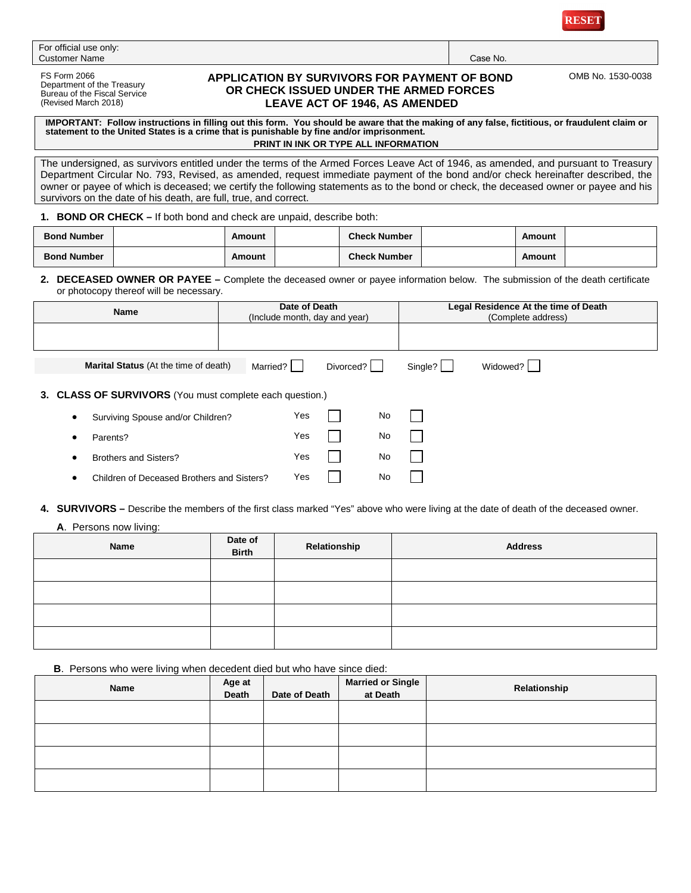

| For official use only: |          |
|------------------------|----------|
| <b>Customer Name</b>   | Case No. |

FS Form 2066 Department of the Treasury Bureau of the Fiscal Service (Revised March 2018)

## **APPLICATION BY SURVIVORS FOR PAYMENT OF BOND OR CHECK ISSUED UNDER THE ARMED FORCES LEAVE ACT OF 1946, AS AMENDED**

OMB No. 1530-0038

IMPORTANT: Follow instructions in filling out this form. You should be aware that the making of any false, fictitious, or fraudulent claim or<br>statement to the United States is a crime that is punishable by fine and/or impr

**PRINT IN INK OR TYPE ALL INFORMATION**

The undersigned, as survivors entitled under the terms of the Armed Forces Leave Act of 1946, as amended, and pursuant to Treasury Department Circular No. 793, Revised, as amended, request immediate payment of the bond and/or check hereinafter described, the owner or payee of which is deceased; we certify the following statements as to the bond or check, the deceased owner or payee and his survivors on the date of his death, are full, true, and correct.

**1. BOND OR CHECK –** If both bond and check are unpaid, describe both:

| <b>Bond Number</b> | Amount | <b>Check Number</b> | Amount |  |
|--------------------|--------|---------------------|--------|--|
| <b>Bond Number</b> | Amount | <b>Check Number</b> | Amount |  |

#### **2. DECEASED OWNER OR PAYEE –** Complete the deceased owner or payee information below. The submission of the death certificate or photocopy thereof will be necessary.

| <b>Name</b>                                              |          | Date of Death | (Include month, day and year) |    |         | Legal Residence At the time of Death<br>(Complete address) |  |
|----------------------------------------------------------|----------|---------------|-------------------------------|----|---------|------------------------------------------------------------|--|
|                                                          |          |               |                               |    |         |                                                            |  |
| <b>Marital Status</b> (At the time of death)             | Married? |               | Divorced?                     |    | Single? | Widowed?                                                   |  |
| 3. CLASS OF SURVIVORS (You must complete each question.) |          |               |                               |    |         |                                                            |  |
| Surviving Spouse and/or Children?<br>$\bullet$           |          | Yes           |                               | No |         |                                                            |  |
| Parents?<br>$\bullet$                                    |          | Yes           |                               | No |         |                                                            |  |
| <b>Brothers and Sisters?</b><br>$\bullet$                |          | Yes           |                               | No |         |                                                            |  |
| Children of Deceased Brothers and Sisters?               |          | Yes           |                               | No |         |                                                            |  |

**4. SURVIVORS –** Describe the members of the first class marked "Yes" above who were living at the date of death of the deceased owner.

### **A**. Persons now living:

| Name | Date of<br><b>Birth</b> | Relationship | <b>Address</b> |
|------|-------------------------|--------------|----------------|
|      |                         |              |                |
|      |                         |              |                |
|      |                         |              |                |
|      |                         |              |                |

**B**. Persons who were living when decedent died but who have since died:

| Name | Age at<br>Death | Date of Death | <b>Married or Single</b><br>at Death | Relationship |
|------|-----------------|---------------|--------------------------------------|--------------|
|      |                 |               |                                      |              |
|      |                 |               |                                      |              |
|      |                 |               |                                      |              |
|      |                 |               |                                      |              |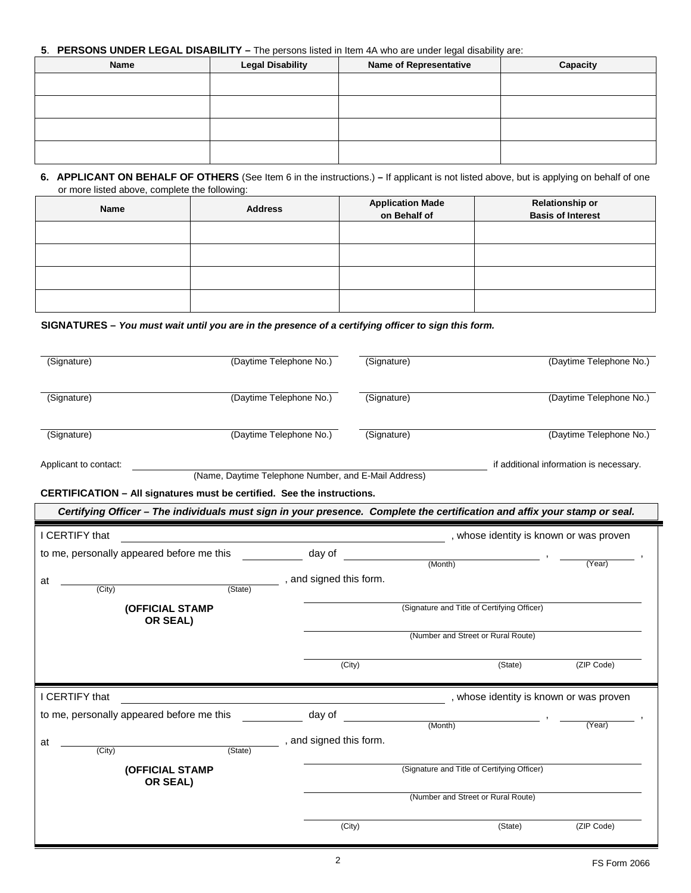# **5**. **PERSONS UNDER LEGAL DISABILITY –** The persons listed in Item 4A who are under legal disability are:

| Name | <b>Legal Disability</b> | <b>Name of Representative</b> | Capacity |
|------|-------------------------|-------------------------------|----------|
|      |                         |                               |          |
|      |                         |                               |          |
|      |                         |                               |          |
|      |                         |                               |          |

## **6. APPLICANT ON BEHALF OF OTHERS** (See Item 6 in the instructions.) **–** If applicant is not listed above, but is applying on behalf of one or more listed above, complete the following:

| Name | <b>Address</b> | <b>Application Made</b><br>on Behalf of | <b>Relationship or</b><br><b>Basis of Interest</b> |
|------|----------------|-----------------------------------------|----------------------------------------------------|
|      |                |                                         |                                                    |
|      |                |                                         |                                                    |
|      |                |                                         |                                                    |
|      |                |                                         |                                                    |

### **SIGNATURES –** *You must wait until you are in the presence of a certifying officer to sign this form.*

| (Signature)                                                                                                               |                                                      | (Daytime Telephone No.) | (Signature) |                                             | (Daytime Telephone No.)                 |
|---------------------------------------------------------------------------------------------------------------------------|------------------------------------------------------|-------------------------|-------------|---------------------------------------------|-----------------------------------------|
| (Signature)                                                                                                               |                                                      | (Daytime Telephone No.) | (Signature) |                                             | (Daytime Telephone No.)                 |
| (Signature)                                                                                                               |                                                      | (Daytime Telephone No.) | (Signature) |                                             | (Daytime Telephone No.)                 |
| Applicant to contact:                                                                                                     | (Name, Daytime Telephone Number, and E-Mail Address) |                         |             |                                             | if additional information is necessary. |
| CERTIFICATION - All signatures must be certified. See the instructions.                                                   |                                                      |                         |             |                                             |                                         |
| Certifying Officer - The individuals must sign in your presence. Complete the certification and affix your stamp or seal. |                                                      |                         |             |                                             |                                         |
| I CERTIFY that                                                                                                            |                                                      |                         |             | , whose identity is known or was proven     |                                         |
| to me, personally appeared before me this                                                                                 |                                                      | day of                  |             | (Month)                                     | (Year)                                  |
| at<br>(City)                                                                                                              | (State)                                              | , and signed this form. |             |                                             |                                         |
| (OFFICIAL STAMP<br>OR SEAL)                                                                                               |                                                      |                         |             | (Signature and Title of Certifying Officer) |                                         |
|                                                                                                                           |                                                      |                         |             | (Number and Street or Rural Route)          |                                         |
|                                                                                                                           |                                                      |                         | (City)      | (State)                                     | (ZIP Code)                              |
| I CERTIFY that                                                                                                            |                                                      |                         |             | , whose identity is known or was proven     |                                         |
| to me, personally appeared before me this                                                                                 |                                                      | day of                  |             | (Month)                                     | (Year)                                  |
| at<br>(City)                                                                                                              | (State)                                              | , and signed this form. |             |                                             |                                         |
| (OFFICIAL STAMP<br>OR SEAL)                                                                                               |                                                      |                         |             | (Signature and Title of Certifying Officer) |                                         |
|                                                                                                                           |                                                      |                         |             | (Number and Street or Rural Route)          |                                         |
|                                                                                                                           |                                                      |                         | (City)      | (State)                                     | (ZIP Code)                              |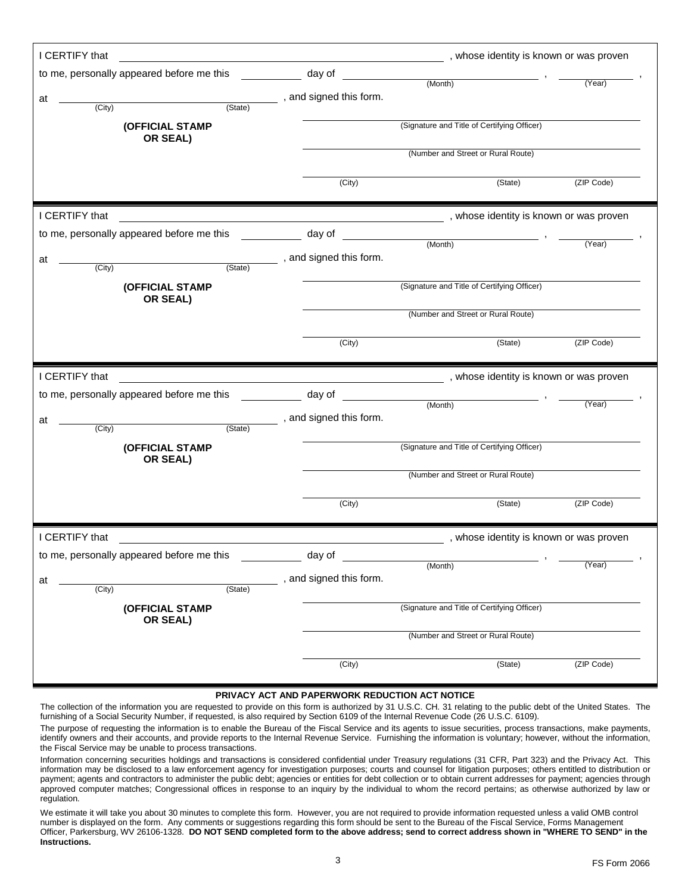| I CERTIFY that                            |                                                                                                                  | whose identity is known or was proven, whose identity is known or was proven |            |
|-------------------------------------------|------------------------------------------------------------------------------------------------------------------|------------------------------------------------------------------------------|------------|
| to me, personally appeared before me this | day of                                                                                                           | (Month)                                                                      | (Year)     |
| at                                        | _____, and signed this form.                                                                                     |                                                                              |            |
| (State)<br>(City)                         |                                                                                                                  |                                                                              |            |
| (OFFICIAL STAMP<br>OR SEAL)               |                                                                                                                  | (Signature and Title of Certifying Officer)                                  |            |
|                                           |                                                                                                                  | (Number and Street or Rural Route)                                           |            |
|                                           | (City)                                                                                                           | (State)                                                                      | (ZIP Code) |
| I CERTIFY that                            | and the control of the control of the control of the control of the control of the control of the control of the | , whose identity is known or was proven                                      |            |
| to me, personally appeared before me this | day of                                                                                                           |                                                                              |            |
| at<br>(City)<br>(State)                   | , and signed this form.                                                                                          | (Month)                                                                      | (Year)     |
| (OFFICIAL STAMP<br>OR SEAL)               |                                                                                                                  | (Signature and Title of Certifying Officer)                                  |            |
|                                           |                                                                                                                  | (Number and Street or Rural Route)                                           |            |
|                                           | (City)                                                                                                           | (State)                                                                      | (ZIP Code) |
|                                           |                                                                                                                  |                                                                              |            |
| I CERTIFY that                            |                                                                                                                  | whose identity is known or was proven                                        |            |
| to me, personally appeared before me this | day of                                                                                                           |                                                                              |            |
| at<br>(City)<br>(State)                   | ____, and signed this form.                                                                                      | (Month)                                                                      | (Year)     |
| (OFFICIAL STAMP                           |                                                                                                                  | (Signature and Title of Certifying Officer)                                  |            |
| OR SEAL)                                  |                                                                                                                  | (Number and Street or Rural Route)                                           |            |
|                                           | (City)                                                                                                           | (State)                                                                      | (ZIP Code) |
| I CERTIFY that                            |                                                                                                                  | , whose identity is known or was proven                                      |            |
| to me, personally appeared before me this | day of                                                                                                           |                                                                              |            |
| at<br>(State)<br>(City)                   | , and signed this form.                                                                                          | (Month)                                                                      | (Year)     |
| (OFFICIAL STAMP                           |                                                                                                                  | (Signature and Title of Certifying Officer)                                  |            |
| OR SEAL)                                  |                                                                                                                  | (Number and Street or Rural Route)                                           |            |

#### **PRIVACY ACT AND PAPERWORK REDUCTION ACT NOTICE**

The collection of the information you are requested to provide on this form is authorized by 31 U.S.C. CH. 31 relating to the public debt of the United States. The furnishing of a Social Security Number, if requested, is also required by Section 6109 of the Internal Revenue Code (26 U.S.C. 6109).

The purpose of requesting the information is to enable the Bureau of the Fiscal Service and its agents to issue securities, process transactions, make payments, identify owners and their accounts, and provide reports to the Internal Revenue Service. Furnishing the information is voluntary; however, without the information, the Fiscal Service may be unable to process transactions.

Information concerning securities holdings and transactions is considered confidential under Treasury regulations (31 CFR, Part 323) and the Privacy Act. This information may be disclosed to a law enforcement agency for investigation purposes; courts and counsel for litigation purposes; others entitled to distribution or payment; agents and contractors to administer the public debt; agencies or entities for debt collection or to obtain current addresses for payment; agencies through approved computer matches; Congressional offices in response to an inquiry by the individual to whom the record pertains; as otherwise authorized by law or regulation.

We estimate it will take you about 30 minutes to complete this form. However, you are not required to provide information requested unless a valid OMB control number is displayed on the form. Any comments or suggestions regarding this form should be sent to the Bureau of the Fiscal Service, Forms Management Officer, Parkersburg, WV 26106-1328. **DO NOT SEND completed form to the above address; send to correct address shown in "WHERE TO SEND" in the Instructions.**